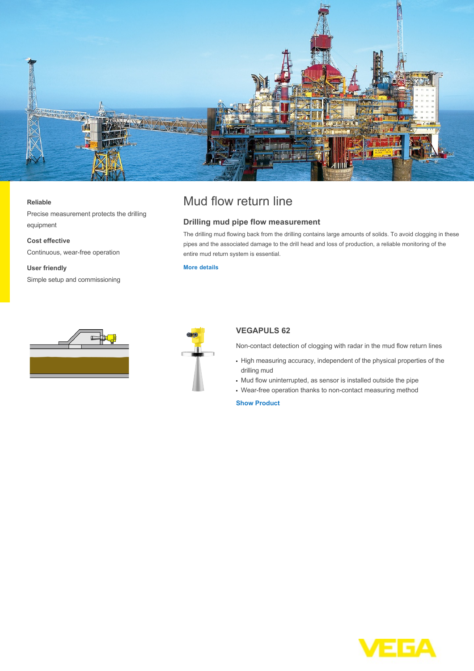

#### **Reliable**

Precise measurement protects the drilling equipment

**Cost effective** Continuous, wear-free operation

**User friendly** Simple setup and commissioning

# Mud flow return line

### **Drilling mud pipe flow measurement**

The drilling mud flowing back from the drilling contains large amounts of solids. To avoid clogging in these pipes and the associated damage to the drill head and loss of production, a reliable monitoring of the entire mud return system is essential.

### **[More details](http://localhost/en-us/industries/oil-and-gas-offshore/mud-flow-return-line)**





## **VEGAPULS 62**

Non-contact detection of clogging with radar in the mud flow return lines

- High measuring accuracy, independent of the physical properties of the drilling mud
- Mud flow uninterrupted, as sensor is installed outside the pipe
- Wear-free operation thanks to non-contact measuring method

**[Show Product](http://localhost/en-us/products/product-catalog/level/radar/vegapuls-62)**